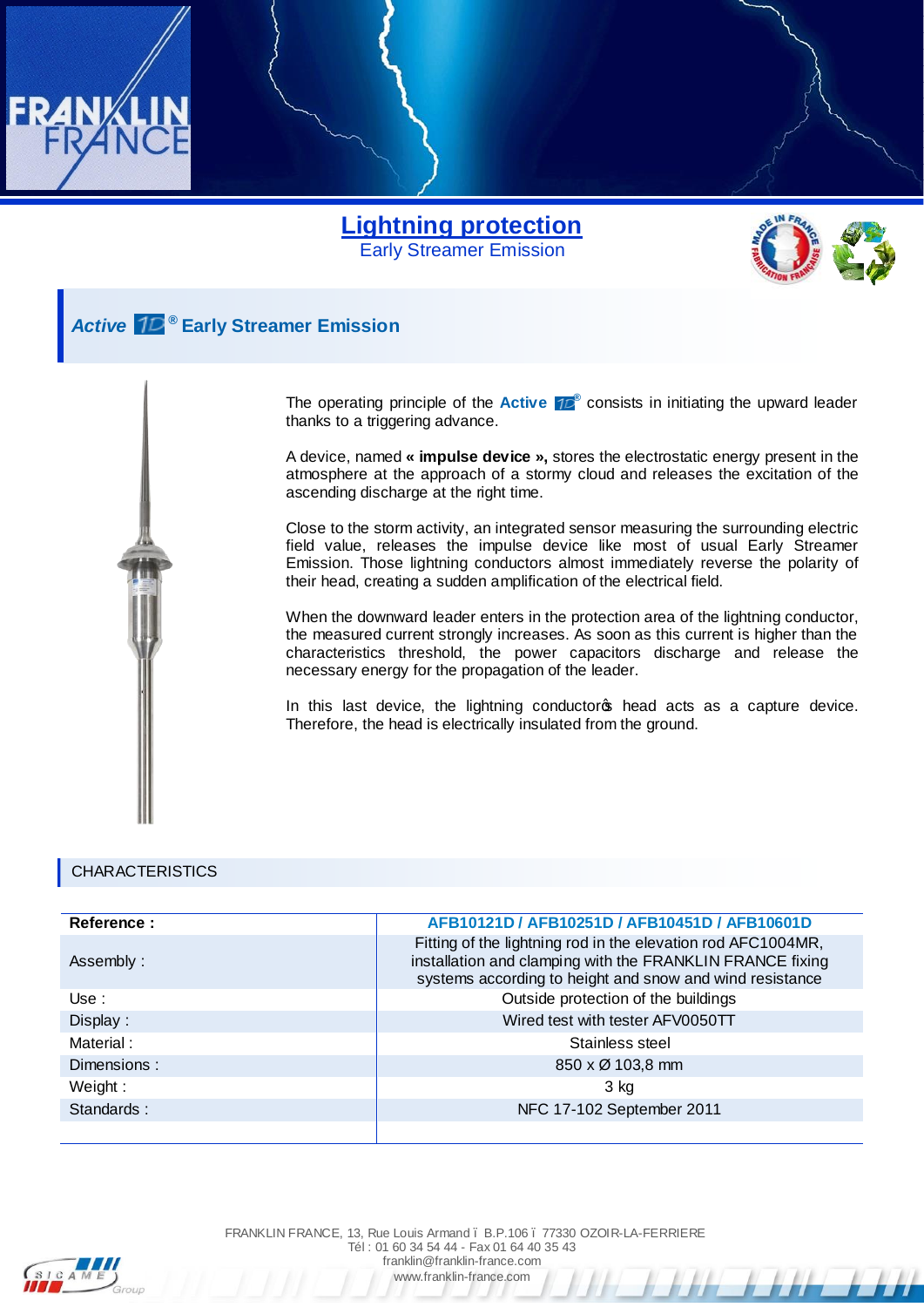



## *Active* **® Early Streamer Emission**

The operating principle of the **Active 10<sup>®</sup>** consists in initiating the upward leader thanks to a triggering advance.

A device, named **« impulse device »,** stores the electrostatic energy present in the atmosphere at the approach of a stormy cloud and releases the excitation of the ascending discharge at the right time.

Close to the storm activity, an integrated sensor measuring the surrounding electric field value, releases the impulse device like most of usual Early Streamer Emission. Those lightning conductors almost immediately reverse the polarity of their head, creating a sudden amplification of the electrical field.

When the downward leader enters in the protection area of the lightning conductor, the measured current strongly increases. As soon as this current is higher than the characteristics threshold, the power capacitors discharge and release the necessary energy for the propagation of the leader.

In this last device, the lightning conductors head acts as a capture device. Therefore, the head is electrically insulated from the ground.

## CHARACTERISTICS

| Reference : | AFB10121D / AFB10251D / AFB10451D / AFB10601D                                                                                                                                         |
|-------------|---------------------------------------------------------------------------------------------------------------------------------------------------------------------------------------|
| Assembly:   | Fitting of the lightning rod in the elevation rod AFC1004MR,<br>installation and clamping with the FRANKLIN FRANCE fixing<br>systems according to height and snow and wind resistance |
| Use :       | Outside protection of the buildings                                                                                                                                                   |
| Display:    | Wired test with tester AFV0050TT                                                                                                                                                      |
| Material:   | Stainless steel                                                                                                                                                                       |
| Dimensions: | $850 \times \emptyset$ 103,8 mm                                                                                                                                                       |
| Weight:     | 3 kg                                                                                                                                                                                  |
| Standards:  | NFC 17-102 September 2011                                                                                                                                                             |
|             |                                                                                                                                                                                       |